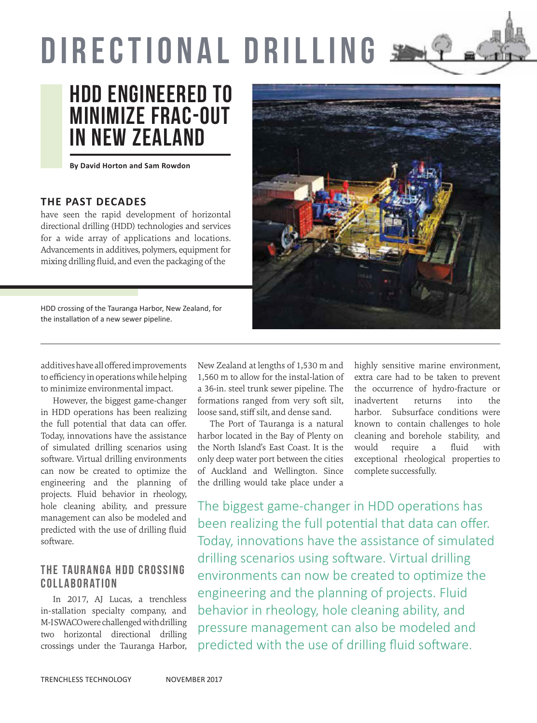# DIRECTIONAL DRILLING



**By David Horton and Sam Rowdon**

### **THE PAST DECADES**

have seen the rapid development of horizontal directional drilling (HDD) technologies and services for a wide array of applications and locations. Advancements in additives, polymers, equipment for mixing drilling fluid, and even the packaging of the

HDD crossing of the Tauranga Harbor, New Zealand, for the installation of a new sewer pipeline.



additives have all offered improvements to efficiency in operations while helping to minimize environmental impact.

However, the biggest game-changer in HDD operations has been realizing the full potential that data can offer. Today, innovations have the assistance of simulated drilling scenarios using software. Virtual drilling environments can now be created to optimize the engineering and the planning of projects. Fluid behavior in rheology, hole cleaning ability, and pressure management can also be modeled and predicted with the use of drilling fluid software.

## THE TAURANGA HDD CROSSING COLLABORATION

In 2017, AJ Lucas, a trenchless in-stallation specialty company, and M-I SWACO were challenged with drilling two horizontal directional drilling crossings under the Tauranga Harbor, New Zealand at lengths of 1,530 m and 1,560 m to allow for the instal-lation of a 36-in. steel trunk sewer pipeline. The formations ranged from very soft silt, loose sand, stiff silt, and dense sand.

The Port of Tauranga is a natural harbor located in the Bay of Plenty on the North Island's East Coast. It is the only deep water port between the cities of Auckland and Wellington. Since the drilling would take place under a

highly sensitive marine environment, extra care had to be taken to prevent the occurrence of hydro-fracture or inadvertent returns into the harbor. Subsurface conditions were known to contain challenges to hole cleaning and borehole stability, and would require a fluid with exceptional rheological properties to complete successfully.

The biggest game-changer in HDD operations has been realizing the full potential that data can offer. Today, innovations have the assistance of simulated drilling scenarios using software. Virtual drilling environments can now be created to optimize the engineering and the planning of projects. Fluid behavior in rheology, hole cleaning ability, and pressure management can also be modeled and predicted with the use of drilling fluid software.